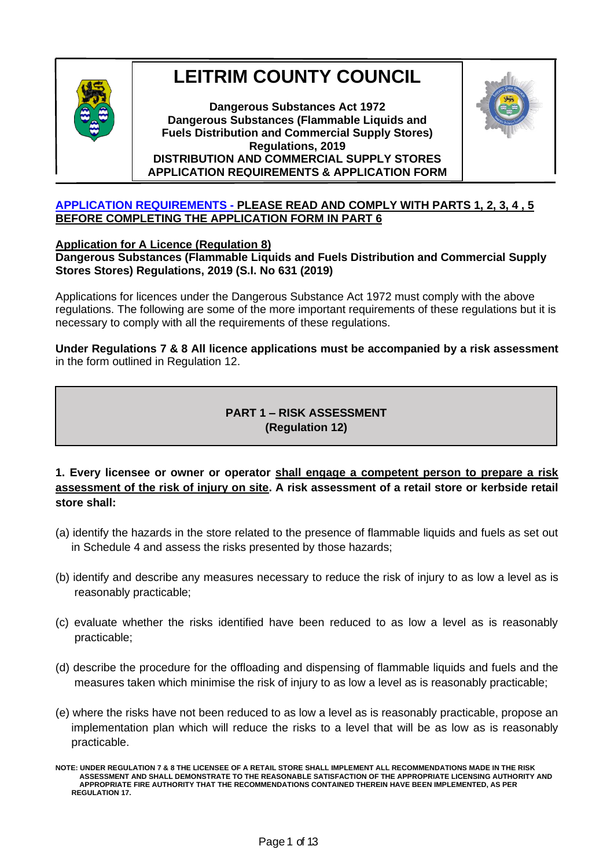

# **LEITRIM COUNTY COUNCIL**

**Dangerous Substances Act 1972 Dangerous Substances (Flammable Liquids and Fuels Distribution and Commercial Supply Stores) Regulations, 2019 DISTRIBUTION AND COMMERCIAL SUPPLY STORES APPLICATION REQUIREMENTS & APPLICATION FORM**



#### **APPLICATION REQUIREMENTS - PLEASE READ AND COMPLY WITH PARTS 1, 2, 3, 4 , 5 BEFORE COMPLETING THE APPLICATION FORM IN PART 6**

**(PARTS 1 - 5)**

## **Application for A Licence (Regulation 8)**

## **Dangerous Substances (Flammable Liquids and Fuels Distribution and Commercial Supply Stores Stores) Regulations, 2019 (S.I. No 631 (2019)**

Applications for licences under the Dangerous Substance Act 1972 must comply with the above regulations. The following are some of the more important requirements of these regulations but it is necessary to comply with all the requirements of these regulations.

**Under Regulations 7 & 8 All licence applications must be accompanied by a risk assessment** in the form outlined in Regulation 12.

## **PART 1 – RISK ASSESSMENT (Regulation 12)**

## **1. Every licensee or owner or operator shall engage a competent person to prepare a risk assessment of the risk of injury on site. A risk assessment of a retail store or kerbside retail store shall:**

- (a) identify the hazards in the store related to the presence of flammable liquids and fuels as set out in Schedule 4 and assess the risks presented by those hazards;
- (b) identify and describe any measures necessary to reduce the risk of injury to as low a level as is reasonably practicable;
- (c) evaluate whether the risks identified have been reduced to as low a level as is reasonably practicable;
- (d) describe the procedure for the offloading and dispensing of flammable liquids and fuels and the measures taken which minimise the risk of injury to as low a level as is reasonably practicable;
- (e) where the risks have not been reduced to as low a level as is reasonably practicable, propose an implementation plan which will reduce the risks to a level that will be as low as is reasonably practicable.

**NOTE: UNDER REGULATION 7 & 8 THE LICENSEE OF A RETAIL STORE SHALL IMPLEMENT ALL RECOMMENDATIONS MADE IN THE RISK ASSESSMENT AND SHALL DEMONSTRATE TO THE REASONABLE SATISFACTION OF THE APPROPRIATE LICENSING AUTHORITY AND APPROPRIATE FIRE AUTHORITY THAT THE RECOMMENDATIONS CONTAINED THEREIN HAVE BEEN IMPLEMENTED, AS PER REGULATION 17.**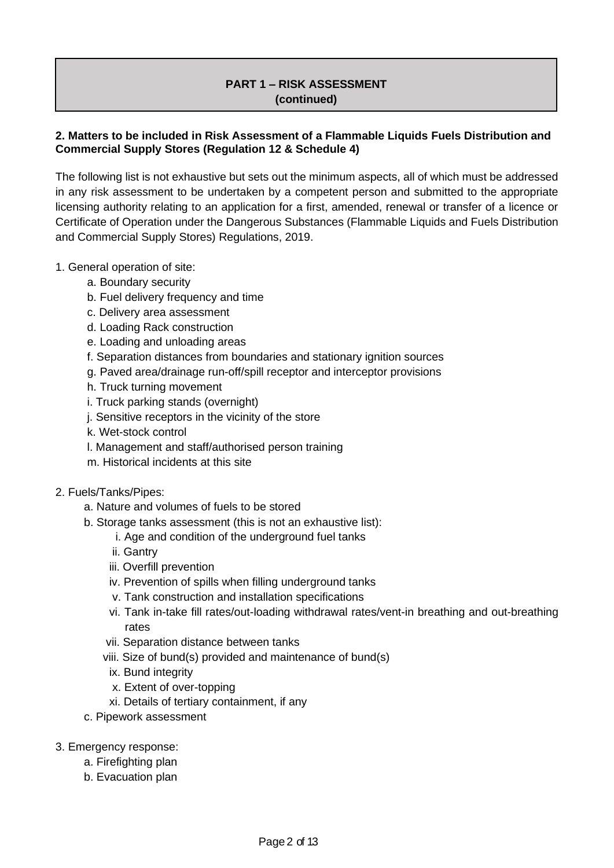## **PART 1 – RISK ASSESSMENT (continued)**

## **2. Matters to be included in Risk Assessment of a Flammable Liquids Fuels Distribution and Commercial Supply Stores (Regulation 12 & Schedule 4)**

The following list is not exhaustive but sets out the minimum aspects, all of which must be addressed in any risk assessment to be undertaken by a competent person and submitted to the appropriate licensing authority relating to an application for a first, amended, renewal or transfer of a licence or Certificate of Operation under the Dangerous Substances (Flammable Liquids and Fuels Distribution and Commercial Supply Stores) Regulations, 2019.

## 1. General operation of site:

- a. Boundary security
- b. Fuel delivery frequency and time
- c. Delivery area assessment
- d. Loading Rack construction
- e. Loading and unloading areas
- f. Separation distances from boundaries and stationary ignition sources
- g. Paved area/drainage run-off/spill receptor and interceptor provisions
- h. Truck turning movement
- i. Truck parking stands (overnight)
- j. Sensitive receptors in the vicinity of the store
- k. Wet-stock control
- l. Management and staff/authorised person training
- m. Historical incidents at this site

#### 2. Fuels/Tanks/Pipes:

- a. Nature and volumes of fuels to be stored
- b. Storage tanks assessment (this is not an exhaustive list):
	- i. Age and condition of the underground fuel tanks
	- ii. Gantry
	- iii. Overfill prevention
	- iv. Prevention of spills when filling underground tanks
	- v. Tank construction and installation specifications
	- vi. Tank in-take fill rates/out-loading withdrawal rates/vent-in breathing and out-breathing rates
	- vii. Separation distance between tanks
	- viii. Size of bund(s) provided and maintenance of bund(s)
		- ix. Bund integrity
		- x. Extent of over-topping
		- xi. Details of tertiary containment, if any
- c. Pipework assessment
- 3. Emergency response:
	- a. Firefighting plan
	- b. Evacuation plan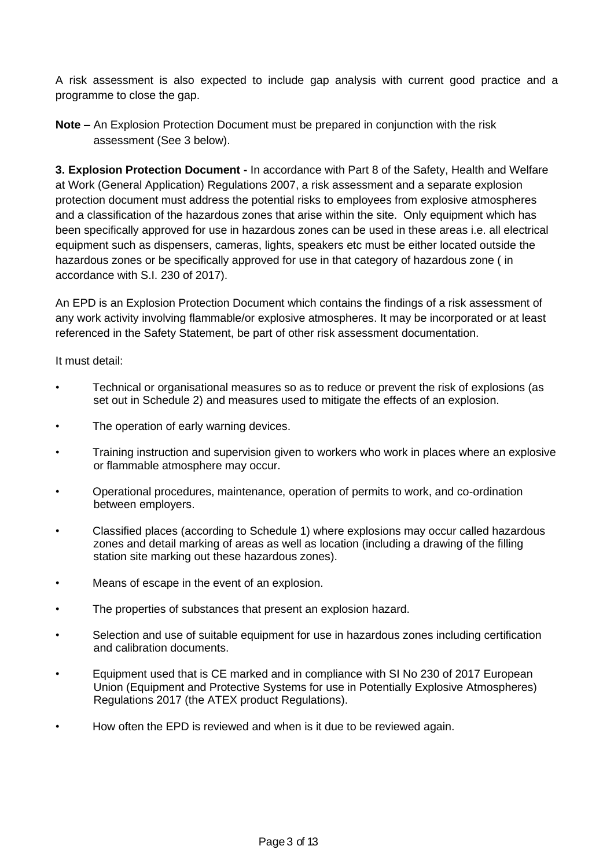A risk assessment is also expected to include gap analysis with current good practice and a programme to close the gap.

**Note –** An Explosion Protection Document must be prepared in conjunction with the risk assessment (See 3 below).

**3. Explosion Protection Document -** In accordance with Part 8 of the Safety, Health and Welfare at Work (General Application) Regulations 2007, a risk assessment and a separate explosion protection document must address the potential risks to employees from explosive atmospheres and a classification of the hazardous zones that arise within the site. Only equipment which has been specifically approved for use in hazardous zones can be used in these areas i.e. all electrical equipment such as dispensers, cameras, lights, speakers etc must be either located outside the hazardous zones or be specifically approved for use in that category of hazardous zone ( in accordance with S.I. 230 of 2017).

An EPD is an Explosion Protection Document which contains the findings of a risk assessment of any work activity involving flammable/or explosive atmospheres. It may be incorporated or at least referenced in the Safety Statement, be part of other risk assessment documentation.

It must detail:

- Technical or organisational measures so as to reduce or prevent the risk of explosions (as set out in Schedule 2) and measures used to mitigate the effects of an explosion.
- The operation of early warning devices.
- Training instruction and supervision given to workers who work in places where an explosive or flammable atmosphere may occur.
- Operational procedures, maintenance, operation of permits to work, and co-ordination between employers.
- Classified places (according to Schedule 1) where explosions may occur called hazardous zones and detail marking of areas as well as location (including a drawing of the filling station site marking out these hazardous zones).
- Means of escape in the event of an explosion.
- The properties of substances that present an explosion hazard.
- Selection and use of suitable equipment for use in hazardous zones including certification and calibration documents.
- Equipment used that is CE marked and in compliance with SI No 230 of 2017 European Union (Equipment and Protective Systems for use in Potentially Explosive Atmospheres) Regulations 2017 (the ATEX product Regulations).
- How often the EPD is reviewed and when is it due to be reviewed again.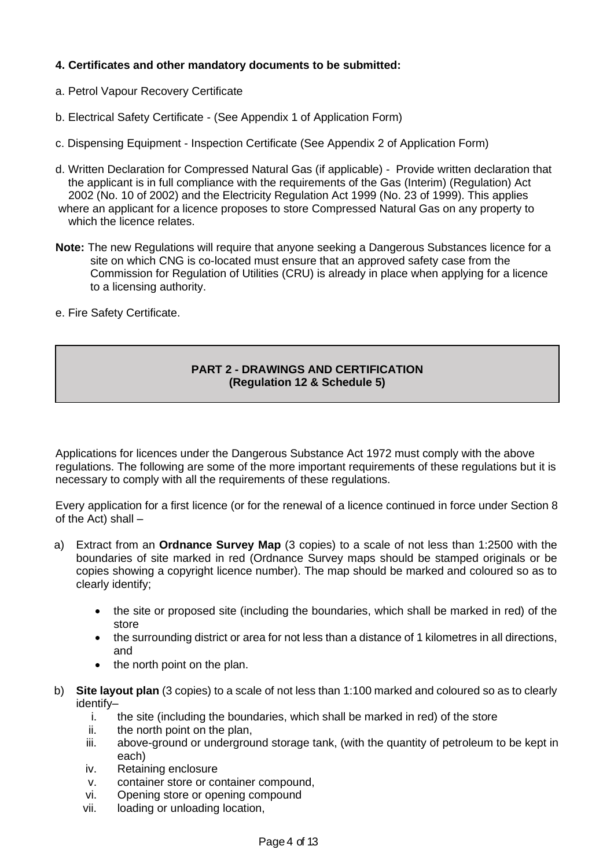#### **4. Certificates and other mandatory documents to be submitted:**

- a. Petrol Vapour Recovery Certificate
- b. Electrical Safety Certificate (See Appendix 1 of Application Form)
- c. Dispensing Equipment Inspection Certificate (See Appendix 2 of Application Form)
- d. Written Declaration for Compressed Natural Gas (if applicable) Provide written declaration that the applicant is in full compliance with the requirements of the Gas (Interim) (Regulation) Act 2002 (No. 10 of 2002) and the Electricity Regulation Act 1999 (No. 23 of 1999). This applies where an applicant for a licence proposes to store Compressed Natural Gas on any property to which the licence relates.
- **Note:** The new Regulations will require that anyone seeking a Dangerous Substances licence for a site on which CNG is co-located must ensure that an approved safety case from the Commission for Regulation of Utilities (CRU) is already in place when applying for a licence to a licensing authority.
- e. Fire Safety Certificate.

#### **PART 2 - DRAWINGS AND CERTIFICATION (Regulation 12 & Schedule 5)**

Applications for licences under the Dangerous Substance Act 1972 must comply with the above regulations. The following are some of the more important requirements of these regulations but it is necessary to comply with all the requirements of these regulations.

Every application for a first licence (or for the renewal of a licence continued in force under Section 8 of the Act) shall –

- a) Extract from an **Ordnance Survey Map** (3 copies) to a scale of not less than 1:2500 with the boundaries of site marked in red (Ordnance Survey maps should be stamped originals or be copies showing a copyright licence number). The map should be marked and coloured so as to clearly identify;
	- the site or proposed site (including the boundaries, which shall be marked in red) of the store
	- the surrounding district or area for not less than a distance of 1 kilometres in all directions, and
	- the north point on the plan.
- b) **Site layout plan** (3 copies) to a scale of not less than 1:100 marked and coloured so as to clearly identify–
	- i. the site (including the boundaries, which shall be marked in red) of the store
	- ii. the north point on the plan,
	- iii. above-ground or underground storage tank, (with the quantity of petroleum to be kept in each)
	- iv. Retaining enclosure
	- v. container store or container compound,
	- vi. Opening store or opening compound
	- vii. loading or unloading location,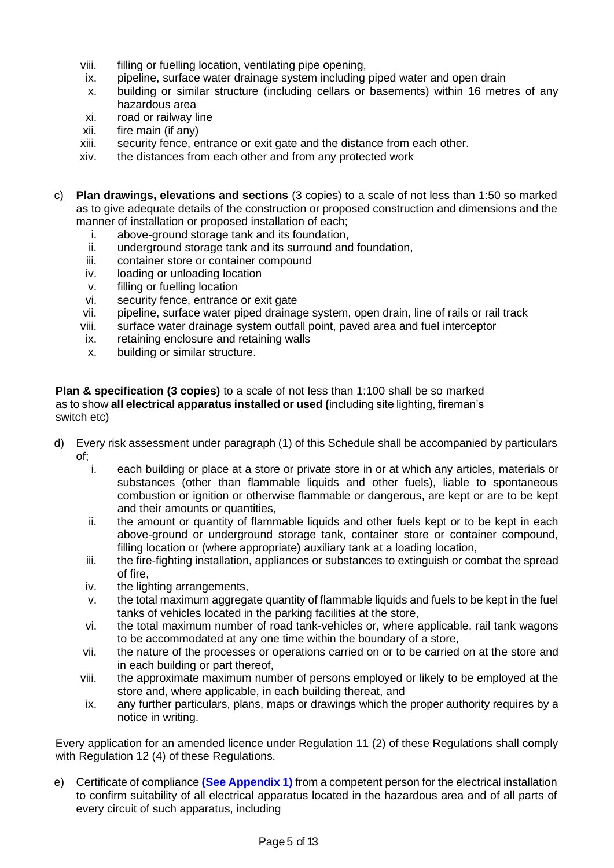- viii. filling or fuelling location, ventilating pipe opening,
- ix. pipeline, surface water drainage system including piped water and open drain
- x. building or similar structure (including cellars or basements) within 16 metres of any hazardous area
- xi. road or railway line
- xii. fire main (if any)
- xiii. security fence, entrance or exit gate and the distance from each other.
- xiv. the distances from each other and from any protected work
- c) **Plan drawings, elevations and sections** (3 copies) to a scale of not less than 1:50 so marked as to give adequate details of the construction or proposed construction and dimensions and the manner of installation or proposed installation of each;
	- i. above-ground storage tank and its foundation,
	- ii. underground storage tank and its surround and foundation,
	- iii. container store or container compound
	- iv. loading or unloading location
	- v. filling or fuelling location
	- vi. security fence, entrance or exit gate
	- vii. pipeline, surface water piped drainage system, open drain, line of rails or rail track
	- viii. surface water drainage system outfall point, paved area and fuel interceptor
	- ix. retaining enclosure and retaining walls
	- x. building or similar structure.

**Plan & specification (3 copies)** to a scale of not less than 1:100 shall be so marked as to show **all electrical apparatus installed or used (**including site lighting, fireman's switch etc)

- d) Every risk assessment under paragraph (1) of this Schedule shall be accompanied by particulars of;<br>i.
	- each building or place at a store or private store in or at which any articles, materials or substances (other than flammable liquids and other fuels), liable to spontaneous combustion or ignition or otherwise flammable or dangerous, are kept or are to be kept and their amounts or quantities,
	- ii. the amount or quantity of flammable liquids and other fuels kept or to be kept in each above-ground or underground storage tank, container store or container compound, filling location or (where appropriate) auxiliary tank at a loading location,
	- iii. the fire-fighting installation, appliances or substances to extinguish or combat the spread of fire,
	- iv. the lighting arrangements,
	- v. the total maximum aggregate quantity of flammable liquids and fuels to be kept in the fuel tanks of vehicles located in the parking facilities at the store,
	- vi. the total maximum number of road tank-vehicles or, where applicable, rail tank wagons to be accommodated at any one time within the boundary of a store,
	- vii. the nature of the processes or operations carried on or to be carried on at the store and in each building or part thereof,
	- viii. the approximate maximum number of persons employed or likely to be employed at the store and, where applicable, in each building thereat, and
	- ix. any further particulars, plans, maps or drawings which the proper authority requires by a notice in writing.

Every application for an amended licence under Regulation 11 (2) of these Regulations shall comply with Regulation 12 (4) of these Regulations.

e) Certificate of compliance **(See Appendix 1)** from a competent person for the electrical installation to confirm suitability of all electrical apparatus located in the hazardous area and of all parts of every circuit of such apparatus, including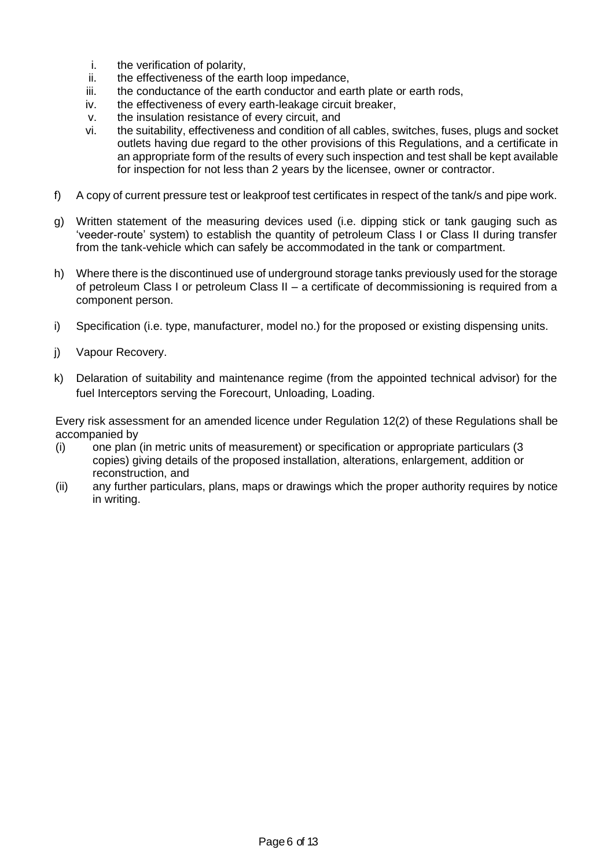- i. the verification of polarity,
- ii. the effectiveness of the earth loop impedance,
- iii. the conductance of the earth conductor and earth plate or earth rods,
- iv. the effectiveness of every earth-leakage circuit breaker,
- v. the insulation resistance of every circuit, and
- vi. the suitability, effectiveness and condition of all cables, switches, fuses, plugs and socket outlets having due regard to the other provisions of this Regulations, and a certificate in an appropriate form of the results of every such inspection and test shall be kept available for inspection for not less than 2 years by the licensee, owner or contractor.
- f) A copy of current pressure test or leakproof test certificates in respect of the tank/s and pipe work.
- g) Written statement of the measuring devices used (i.e. dipping stick or tank gauging such as 'veeder-route' system) to establish the quantity of petroleum Class I or Class II during transfer from the tank-vehicle which can safely be accommodated in the tank or compartment.
- h) Where there is the discontinued use of underground storage tanks previously used for the storage of petroleum Class I or petroleum Class II – a certificate of decommissioning is required from a component person.
- i) Specification (i.e. type, manufacturer, model no.) for the proposed or existing dispensing units.
- j) Vapour Recovery.
- k) Delaration of suitability and maintenance regime (from the appointed technical advisor) for the fuel Interceptors serving the Forecourt, Unloading, Loading.

Every risk assessment for an amended licence under Regulation 12(2) of these Regulations shall be accompanied by

- (i) one plan (in metric units of measurement) or specification or appropriate particulars (3 copies) giving details of the proposed installation, alterations, enlargement, addition or reconstruction, and
- (ii) any further particulars, plans, maps or drawings which the proper authority requires by notice in writing.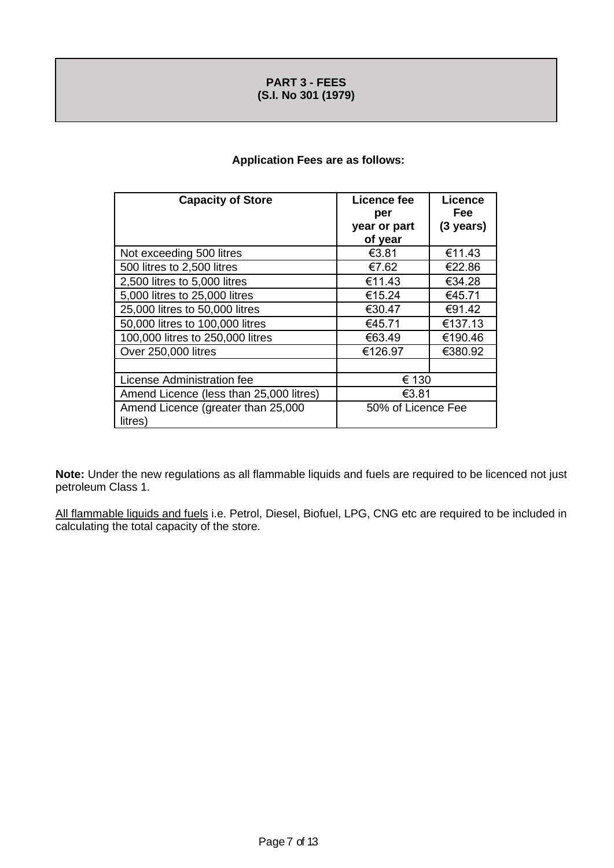#### **PART 3 - FEES (S.I. No 301 (1979)**

#### **Application Fees are as follows:**

| <b>Capacity of Store</b>                | Licence fee<br>per | <b>Licence</b><br>Fee |
|-----------------------------------------|--------------------|-----------------------|
|                                         | year or part       | $(3 \text{ years})$   |
|                                         | of year            |                       |
| Not exceeding 500 litres                | €3.81              | €11.43                |
| 500 litres to 2,500 litres              | €7.62              | €22.86                |
| 2,500 litres to 5,000 litres            | €11.43             | €34.28                |
| 5,000 litres to 25,000 litres           | €15.24             | €45.71                |
| 25,000 litres to 50,000 litres          | €30.47             | €91.42                |
| 50,000 litres to 100,000 litres         | €45.71             | €137.13               |
| 100,000 litres to 250,000 litres        | €63.49             | €190.46               |
| Over 250,000 litres                     | €126.97            | €380.92               |
|                                         |                    |                       |
| License Administration fee              | € 130              |                       |
| Amend Licence (less than 25,000 litres) | €3.81              |                       |
| Amend Licence (greater than 25,000      | 50% of Licence Fee |                       |
| litres)                                 |                    |                       |

**Note:** Under the new regulations as all flammable liquids and fuels are required to be licenced not just petroleum Class 1.

All flammable liquids and fuels i.e. Petrol, Diesel, Biofuel, LPG, CNG etc are required to be included in calculating the total capacity of the store.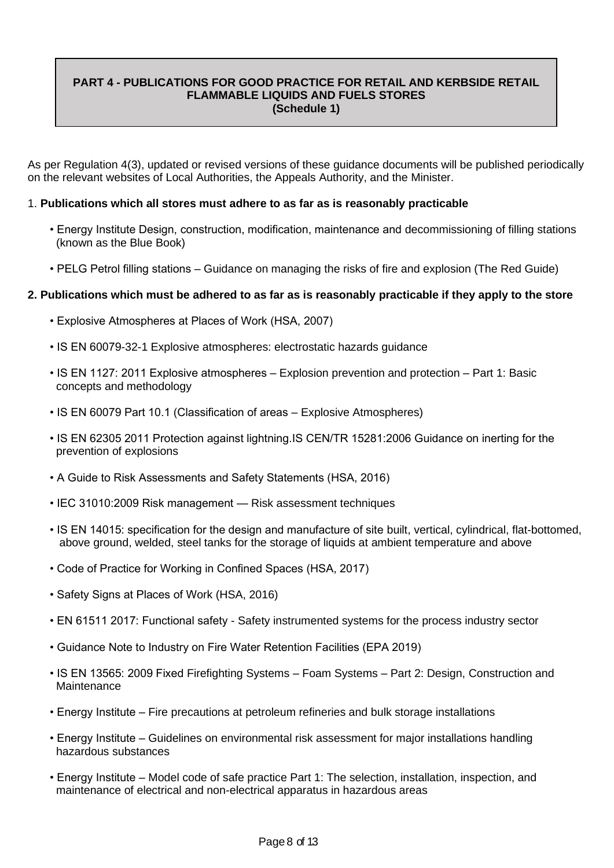#### **PART 4 - PUBLICATIONS FOR GOOD PRACTICE FOR RETAIL AND KERBSIDE RETAIL FLAMMABLE LIQUIDS AND FUELS STORES (Schedule 1)**

As per Regulation 4(3), updated or revised versions of these guidance documents will be published periodically on the relevant websites of Local Authorities, the Appeals Authority, and the Minister.

#### 1. **Publications which all stores must adhere to as far as is reasonably practicable**

- Energy Institute Design, construction, modification, maintenance and decommissioning of filling stations (known as the Blue Book)
- PELG Petrol filling stations Guidance on managing the risks of fire and explosion (The Red Guide)

#### **2. Publications which must be adhered to as far as is reasonably practicable if they apply to the store**

- Explosive Atmospheres at Places of Work (HSA, 2007)
- IS EN 60079-32-1 Explosive atmospheres: electrostatic hazards guidance
- IS EN 1127: 2011 Explosive atmospheres Explosion prevention and protection Part 1: Basic concepts and methodology
- IS EN 60079 Part 10.1 (Classification of areas Explosive Atmospheres)
- IS EN 62305 2011 Protection against lightning.IS CEN/TR 15281:2006 Guidance on inerting for the prevention of explosions
- A Guide to Risk Assessments and Safety Statements (HSA, 2016)
- IEC 31010:2009 Risk management Risk assessment techniques
- IS EN 14015: specification for the design and manufacture of site built, vertical, cylindrical, flat-bottomed, above ground, welded, steel tanks for the storage of liquids at ambient temperature and above
- Code of Practice for Working in Confined Spaces (HSA, 2017)
- Safety Signs at Places of Work (HSA, 2016)
- EN 61511 2017: Functional safety Safety instrumented systems for the process industry sector
- Guidance Note to Industry on Fire Water Retention Facilities (EPA 2019)
- IS EN 13565: 2009 Fixed Firefighting Systems Foam Systems Part 2: Design, Construction and Maintenance
- Energy Institute Fire precautions at petroleum refineries and bulk storage installations
- Energy Institute Guidelines on environmental risk assessment for major installations handling hazardous substances
- Energy Institute Model code of safe practice Part 1: The selection, installation, inspection, and maintenance of electrical and non-electrical apparatus in hazardous areas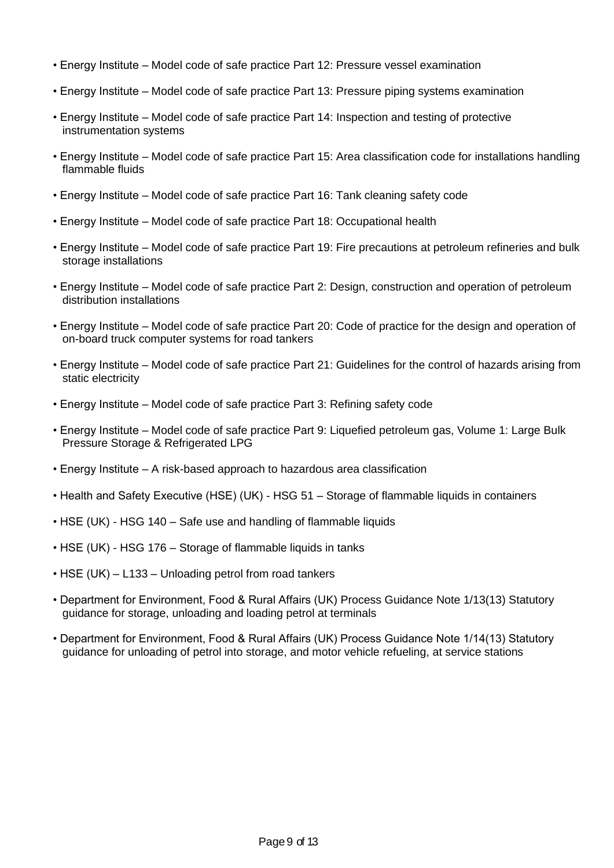- Energy Institute Model code of safe practice Part 12: Pressure vessel examination
- Energy Institute Model code of safe practice Part 13: Pressure piping systems examination
- Energy Institute Model code of safe practice Part 14: Inspection and testing of protective instrumentation systems
- Energy Institute Model code of safe practice Part 15: Area classification code for installations handling flammable fluids
- Energy Institute Model code of safe practice Part 16: Tank cleaning safety code
- Energy Institute Model code of safe practice Part 18: Occupational health
- Energy Institute Model code of safe practice Part 19: Fire precautions at petroleum refineries and bulk storage installations
- Energy Institute Model code of safe practice Part 2: Design, construction and operation of petroleum distribution installations
- Energy Institute Model code of safe practice Part 20: Code of practice for the design and operation of on-board truck computer systems for road tankers
- Energy Institute Model code of safe practice Part 21: Guidelines for the control of hazards arising from static electricity
- Energy Institute Model code of safe practice Part 3: Refining safety code
- Energy Institute Model code of safe practice Part 9: Liquefied petroleum gas, Volume 1: Large Bulk Pressure Storage & Refrigerated LPG
- Energy Institute A risk-based approach to hazardous area classification
- Health and Safety Executive (HSE) (UK) HSG 51 Storage of flammable liquids in containers
- HSE (UK) HSG 140 Safe use and handling of flammable liquids
- HSE (UK) HSG 176 Storage of flammable liquids in tanks
- HSE (UK) L133 Unloading petrol from road tankers
- Department for Environment, Food & Rural Affairs (UK) Process Guidance Note 1/13(13) Statutory guidance for storage, unloading and loading petrol at terminals
- Department for Environment, Food & Rural Affairs (UK) Process Guidance Note 1/14(13) Statutory guidance for unloading of petrol into storage, and motor vehicle refueling, at service stations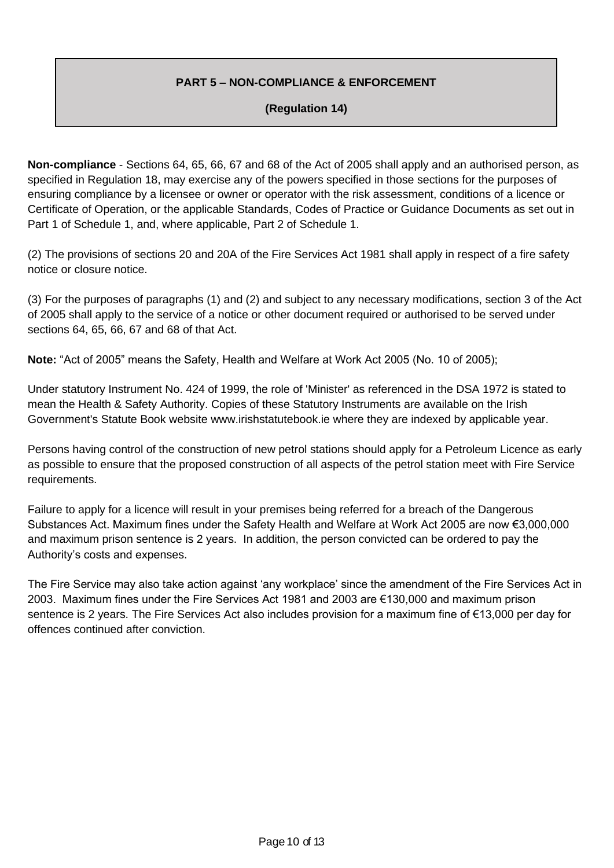## **PART 5 – NON-COMPLIANCE & ENFORCEMENT**

## **(Regulation 14)**

**Non-compliance** - Sections 64, 65, 66, 67 and 68 of the Act of 2005 shall apply and an authorised person, as specified in Regulation 18, may exercise any of the powers specified in those sections for the purposes of ensuring compliance by a licensee or owner or operator with the risk assessment, conditions of a licence or Certificate of Operation, or the applicable Standards, Codes of Practice or Guidance Documents as set out in Part 1 of Schedule 1, and, where applicable, Part 2 of Schedule 1.

(2) The provisions of sections 20 and 20A of the Fire Services Act 1981 shall apply in respect of a fire safety notice or closure notice.

(3) For the purposes of paragraphs (1) and (2) and subject to any necessary modifications, section 3 of the Act of 2005 shall apply to the service of a notice or other document required or authorised to be served under sections 64, 65, 66, 67 and 68 of that Act.

**Note:** "Act of 2005" means the Safety, Health and Welfare at Work Act 2005 (No. 10 of 2005);

Under statutory Instrument No. 424 of 1999, the role of 'Minister' as referenced in the DSA 1972 is stated to mean the Health & Safety Authority. Copies of these Statutory Instruments are available on the Irish Government's Statute Book website www.irishstatutebook.ie where they are indexed by applicable year.

Persons having control of the construction of new petrol stations should apply for a Petroleum Licence as early as possible to ensure that the proposed construction of all aspects of the petrol station meet with Fire Service requirements.

Failure to apply for a licence will result in your premises being referred for a breach of the Dangerous Substances Act. Maximum fines under the Safety Health and Welfare at Work Act 2005 are now €3,000,000 and maximum prison sentence is 2 years. In addition, the person convicted can be ordered to pay the Authority's costs and expenses.

The Fire Service may also take action against 'any workplace' since the amendment of the Fire Services Act in 2003. Maximum fines under the Fire Services Act 1981 and 2003 are €130,000 and maximum prison sentence is 2 years. The Fire Services Act also includes provision for a maximum fine of €13,000 per day for offences continued after conviction.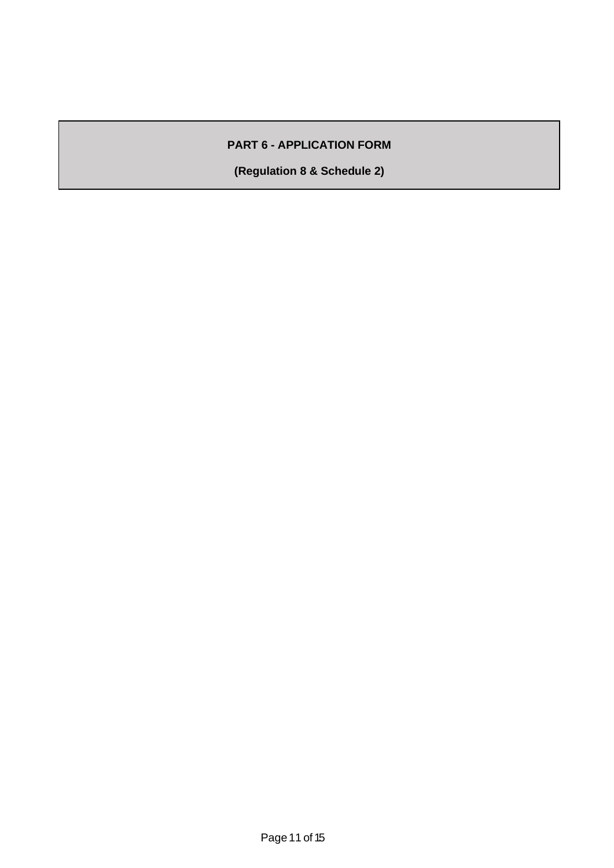# **PART 6 - APPLICATION FORM**

**(Regulation 8 & Schedule 2)**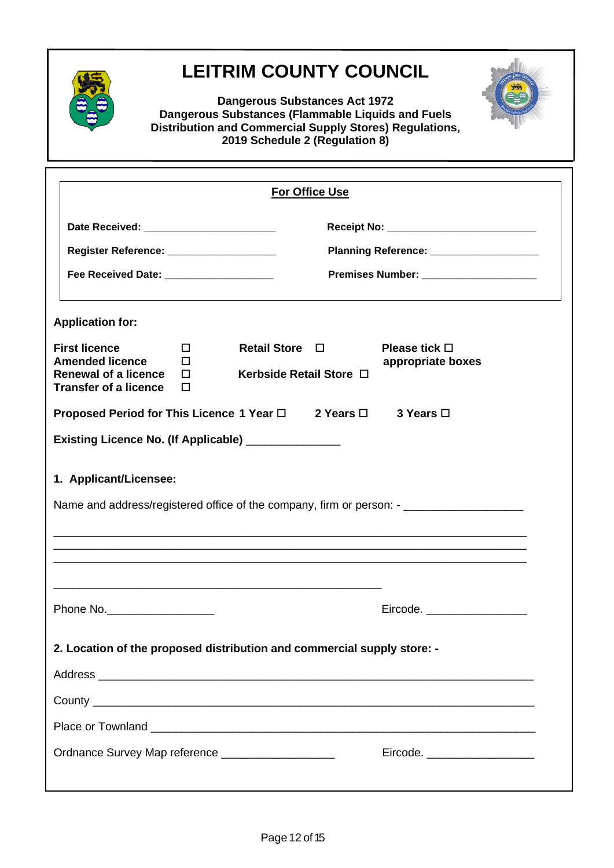

# **LEITRIM COUNTY COUNCIL**



**Dangerous Substances Act 1972 Dangerous Substances (Flammable Liquids and Fuels Distribution and Commercial Supply Stores) Regulations, 2019 Schedule 2 (Regulation 8)**

|                                                                                |                                            |                                         | <b>For Office Use</b> |                                                                                                      |  |
|--------------------------------------------------------------------------------|--------------------------------------------|-----------------------------------------|-----------------------|------------------------------------------------------------------------------------------------------|--|
|                                                                                | Date Received: ___________________________ |                                         |                       |                                                                                                      |  |
| Register Reference: _____________________                                      |                                            | Planning Reference: ___________________ |                       |                                                                                                      |  |
| Fee Received Date: ______________________                                      | Premises Number: ______________________    |                                         |                       |                                                                                                      |  |
| <b>Application for:</b>                                                        |                                            |                                         |                       |                                                                                                      |  |
| <b>First licence</b>                                                           | □                                          | <b>Retail Store</b>                     | $\Box$                | Please tick $\Box$                                                                                   |  |
| <b>Amended licence</b><br>Renewal of a licence<br><b>Transfer of a licence</b> | п<br>п<br>п                                | Kerbside Retail Store □                 |                       | appropriate boxes                                                                                    |  |
| Proposed Period for This Licence 1 Year □                                      |                                            |                                         | 2 Years $\Box$        | 3 Years □                                                                                            |  |
| Existing Licence No. (If Applicable) ________________                          |                                            |                                         |                       |                                                                                                      |  |
| 1. Applicant/Licensee:                                                         |                                            |                                         |                       |                                                                                                      |  |
|                                                                                |                                            |                                         |                       | Name and address/registered office of the company, firm or person: - _______________________________ |  |
|                                                                                |                                            |                                         |                       |                                                                                                      |  |
|                                                                                |                                            |                                         |                       |                                                                                                      |  |
|                                                                                |                                            |                                         |                       |                                                                                                      |  |
| Phone No.                                                                      |                                            |                                         |                       |                                                                                                      |  |
| 2. Location of the proposed distribution and commercial supply store: -        |                                            |                                         |                       |                                                                                                      |  |
|                                                                                |                                            |                                         |                       |                                                                                                      |  |
|                                                                                |                                            |                                         |                       |                                                                                                      |  |
|                                                                                |                                            |                                         |                       |                                                                                                      |  |
| Ordnance Survey Map reference ___________________                              |                                            |                                         |                       | Eircode. _____________________                                                                       |  |
|                                                                                |                                            |                                         |                       |                                                                                                      |  |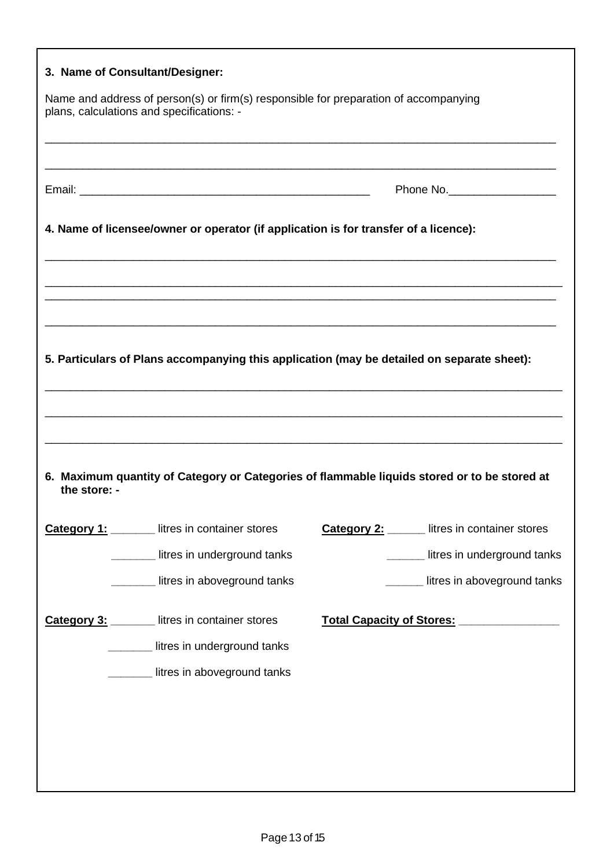| 3. Name of Consultant/Designer:                                                                                                   |                                                      |
|-----------------------------------------------------------------------------------------------------------------------------------|------------------------------------------------------|
| Name and address of person(s) or firm(s) responsible for preparation of accompanying<br>plans, calculations and specifications: - |                                                      |
|                                                                                                                                   |                                                      |
|                                                                                                                                   | Phone No.____________________                        |
| 4. Name of licensee/owner or operator (if application is for transfer of a licence):                                              |                                                      |
|                                                                                                                                   |                                                      |
|                                                                                                                                   |                                                      |
| 5. Particulars of Plans accompanying this application (may be detailed on separate sheet):                                        |                                                      |
|                                                                                                                                   |                                                      |
|                                                                                                                                   |                                                      |
| 6. Maximum quantity of Category or Categories of flammable liquids stored or to be stored at<br>the store: -                      |                                                      |
| <b>Category 1:</b> Iitres in container stores                                                                                     | <b>Category 2:</b> ______ litres in container stores |
| litres in underground tanks                                                                                                       | litres in underground tanks                          |
| litres in aboveground tanks                                                                                                       | litres in aboveground tanks                          |
| _ litres in container stores<br>Category 3:                                                                                       | Total Capacity of Stores: 1994 1994                  |
| litres in underground tanks                                                                                                       |                                                      |
| litres in aboveground tanks                                                                                                       |                                                      |
|                                                                                                                                   |                                                      |
|                                                                                                                                   |                                                      |
|                                                                                                                                   |                                                      |
|                                                                                                                                   |                                                      |

Г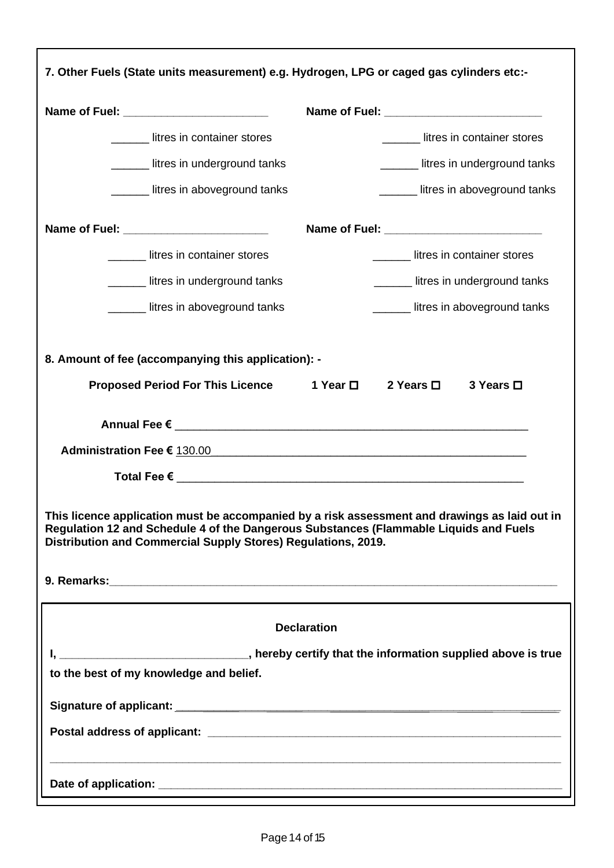| 7. Other Fuels (State units measurement) e.g. Hydrogen, LPG or caged gas cylinders etc:-                                                                            |                                                                                                            |  |  |  |  |
|---------------------------------------------------------------------------------------------------------------------------------------------------------------------|------------------------------------------------------------------------------------------------------------|--|--|--|--|
| Name of Fuel: ___________________________                                                                                                                           |                                                                                                            |  |  |  |  |
| litres in container stores                                                                                                                                          | litres in container stores                                                                                 |  |  |  |  |
| _______ litres in underground tanks                                                                                                                                 | Letter in underground tanks                                                                                |  |  |  |  |
| ______ litres in aboveground tanks                                                                                                                                  | Letter in above ground tanks                                                                               |  |  |  |  |
|                                                                                                                                                                     |                                                                                                            |  |  |  |  |
| Lettuck in container stores                                                                                                                                         | ______ litres in container stores                                                                          |  |  |  |  |
| litres in underground tanks                                                                                                                                         | _______ litres in underground tanks                                                                        |  |  |  |  |
| Letter in above ground tanks                                                                                                                                        | ______ litres in aboveground tanks                                                                         |  |  |  |  |
| 8. Amount of fee (accompanying this application): -<br>Proposed Period For This Licence 1 Year □ 2 Years □                                                          | 3 Years □<br>This licence application must be accompanied by a risk assessment and drawings as laid out in |  |  |  |  |
| Regulation 12 and Schedule 4 of the Dangerous Substances (Flammable Liquids and Fuels<br>Distribution and Commercial Supply Stores) Regulations, 2019.              |                                                                                                            |  |  |  |  |
| <b>Declaration</b><br>I, ___________________________________, hereby certify that the information supplied above is true<br>to the best of my knowledge and belief. |                                                                                                            |  |  |  |  |
|                                                                                                                                                                     |                                                                                                            |  |  |  |  |
|                                                                                                                                                                     |                                                                                                            |  |  |  |  |